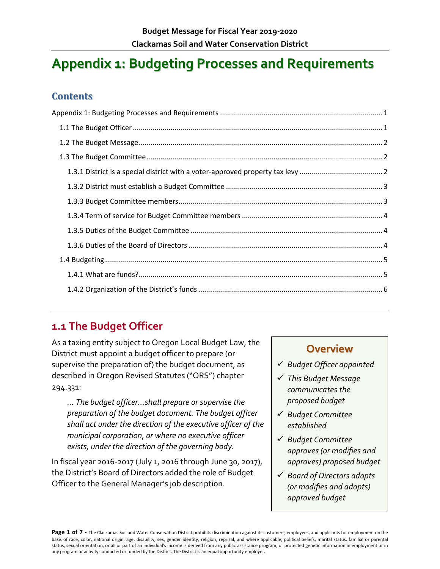# <span id="page-0-0"></span>**Appendix 1: Budgeting Processes and Requirements**

### **Contents**

# <span id="page-0-1"></span>**1.1 The Budget Officer**

As a taxing entity subject to Oregon Local Budget Law, the District must appoint a budget officer to prepare (or supervise the preparation of) the budget document, as described in Oregon Revised Statutes ("ORS") chapter 294.331:

*… The budget officer…shall prepare or supervise the preparation of the budget document. The budget officer shall act under the direction of the executive officer of the municipal corporation, or where no executive officer exists, under the direction of the governing body.*

In fiscal year 2016-2017 (July 1, 2016 through June 30, 2017), the District's Board of Directors added the role of Budget Officer to the General Manager's job description.

# **Overview**

- *Budget Officer appointed*
- *This Budget Message communicates the proposed budget*
- *Budget Committee established*
- *Budget Committee approves (or modifies and approves) proposed budget*
- *Board of Directors adopts (or modifies and adopts) approved budget*

Page 1 of 7 - The Clackamas Soil and Water Conservation District prohibits discrimination against its customers, employees, and applicants for employment on the basis of race, color, national origin, age, disability, sex, gender identity, religion, reprisal, and where applicable, political beliefs, marital status, familial or parental status, sexual orientation, or all or part of an individual's income is derived from any public assistance program, or protected genetic information in employment or in any program or activity conducted or funded by the District. The District is an equal opportunity employer.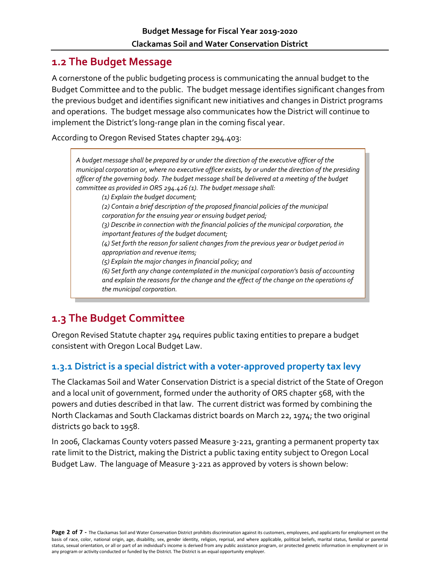# <span id="page-1-0"></span>**1.2 The Budget Message**

A cornerstone of the public budgeting process is communicating the annual budget to the Budget Committee and to the public. The budget message identifies significant changes from the previous budget and identifies significant new initiatives and changes in District programs and operations. The budget message also communicates how the District will continue to implement the District's long-range plan in the coming fiscal year.

According to Oregon Revised States chapter 294.403:

*A budget message shall be prepared by or under the direction of the executive officer of the municipal corporation or, where no executive officer exists, by or under the direction of the presiding officer of the governing body. The budget message shall be delivered at a meeting of the budget committee as provided in ORS 294.426 (1). The budget message shall: (1) Explain the budget document; (2) Contain a brief description of the proposed financial policies of the municipal corporation for the ensuing year or ensuing budget period; (3) Describe in connection with the financial policies of the municipal corporation, the important features of the budget document; (4) Set forth the reason for salient changes from the previous year or budget period in appropriation and revenue items; (5) Explain the major changes in financial policy; and (6) Set forth any change contemplated in the municipal corporation's basis of accounting and explain the reasons for the change and the effect of the change on the operations of the municipal corporation.*

# <span id="page-1-1"></span>**1.3 The Budget Committee**

Oregon Revised Statute chapter 294 requires public taxing entities to prepare a budget consistent with Oregon Local Budget Law.

#### <span id="page-1-2"></span>**1.3.1 District is a special district with a voter-approved property tax levy**

The Clackamas Soil and Water Conservation District is a special district of the State of Oregon and a local unit of government, formed under the authority of ORS chapter 568, with the powers and duties described in that law. The current district was formed by combining the North Clackamas and South Clackamas district boards on March 22, 1974; the two original districts go back to 1958.

In 2006, Clackamas County voters passed Measure 3-221, granting a permanent property tax rate limit to the District, making the District a public taxing entity subject to Oregon Local Budget Law. The language of Measure 3-221 as approved by voters is shown below: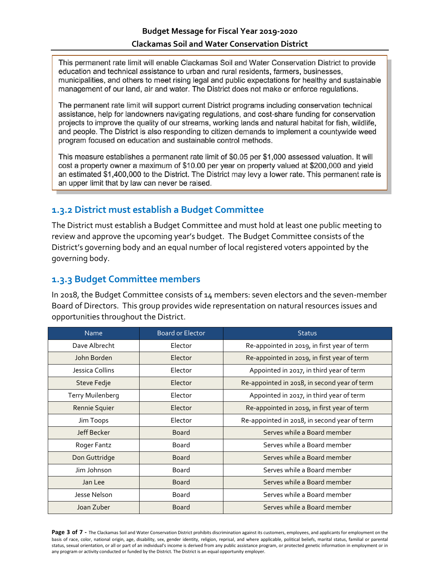This permanent rate limit will enable Clackamas Soil and Water Conservation District to provide education and technical assistance to urban and rural residents, farmers, businesses, municipalities, and others to meet rising legal and public expectations for healthy and sustainable management of our land, air and water. The District does not make or enforce regulations.

The permanent rate limit will support current District programs including conservation technical assistance, help for landowners navigating regulations, and cost-share funding for conservation projects to improve the quality of our streams, working lands and natural habitat for fish, wildlife, and people. The District is also responding to citizen demands to implement a countywide weed program focused on education and sustainable control methods.

This measure establishes a permanent rate limit of \$0.05 per \$1,000 assessed valuation. It will cost a property owner a maximum of \$10.00 per year on property valued at \$200,000 and yield an estimated \$1,400,000 to the District. The District may levy a lower rate. This permanent rate is an upper limit that by law can never be raised.

#### <span id="page-2-0"></span>**1.3.2 District must establish a Budget Committee**

The District must establish a Budget Committee and must hold at least one public meeting to review and approve the upcoming year's budget. The Budget Committee consists of the District's governing body and an equal number of local registered voters appointed by the governing body.

#### <span id="page-2-1"></span>**1.3.3 Budget Committee members**

In 2018, the Budget Committee consists of 14 members: seven electors and the seven-member Board of Directors. This group provides wide representation on natural resources issues and opportunities throughout the District.

| <b>Name</b>             | <b>Board or Elector</b> | <b>Status</b>                                |
|-------------------------|-------------------------|----------------------------------------------|
| Dave Albrecht           | Elector                 | Re-appointed in 2019, in first year of term  |
| John Borden             | Elector                 | Re-appointed in 2019, in first year of term  |
| Jessica Collins         | Elector                 | Appointed in 2017, in third year of term     |
| Steve Fedje             | Elector                 | Re-appointed in 2018, in second year of term |
| <b>Terry Muilenberg</b> | Elector                 | Appointed in 2017, in third year of term     |
| Rennie Squier           | Elector                 | Re-appointed in 2019, in first year of term  |
| Jim Toops               | Elector                 | Re-appointed in 2018, in second year of term |
| Jeff Becker             | <b>Board</b>            | Serves while a Board member                  |
| Roger Fantz             | Board                   | Serves while a Board member                  |
| Don Guttridge           | <b>Board</b>            | Serves while a Board member                  |
| Jim Johnson             | Board                   | Serves while a Board member                  |
| Jan Lee                 | <b>Board</b>            | Serves while a Board member                  |
| Jesse Nelson            | <b>Board</b>            | Serves while a Board member                  |
| Joan Zuber              | <b>Board</b>            | Serves while a Board member                  |

Page 3 of 7 - The Clackamas Soil and Water Conservation District prohibits discrimination against its customers, employees, and applicants for employment on the basis of race, color, national origin, age, disability, sex, gender identity, religion, reprisal, and where applicable, political beliefs, marital status, familial or parental status, sexual orientation, or all or part of an individual's income is derived from any public assistance program, or protected genetic information in employment or in any program or activity conducted or funded by the District. The District is an equal opportunity employer.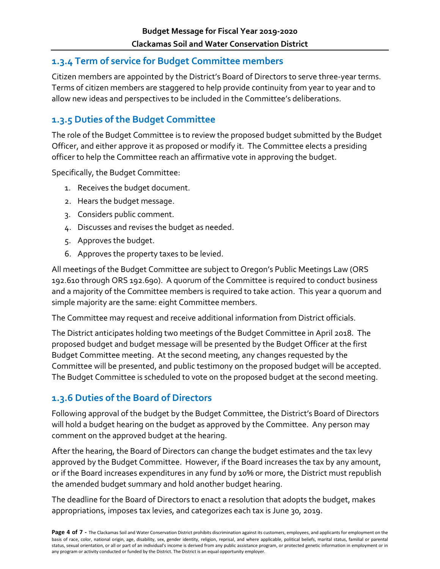### <span id="page-3-0"></span>**1.3.4 Term of service for Budget Committee members**

Citizen members are appointed by the District's Board of Directors to serve three-year terms. Terms of citizen members are staggered to help provide continuity from year to year and to allow new ideas and perspectives to be included in the Committee's deliberations.

# <span id="page-3-1"></span>**1.3.5 Duties of the Budget Committee**

The role of the Budget Committee is to review the proposed budget submitted by the Budget Officer, and either approve it as proposed or modify it. The Committee elects a presiding officer to help the Committee reach an affirmative vote in approving the budget.

Specifically, the Budget Committee:

- 1. Receives the budget document.
- 2. Hears the budget message.
- 3. Considers public comment.
- 4. Discusses and revises the budget as needed.
- 5. Approves the budget.
- 6. Approves the property taxes to be levied.

All meetings of the Budget Committee are subject to Oregon's Public Meetings Law (ORS 192.610 through ORS 192.690). A quorum of the Committee is required to conduct business and a majority of the Committee members is required to take action. This year a quorum and simple majority are the same: eight Committee members.

The Committee may request and receive additional information from District officials.

The District anticipates holding two meetings of the Budget Committee in April 2018. The proposed budget and budget message will be presented by the Budget Officer at the first Budget Committee meeting. At the second meeting, any changes requested by the Committee will be presented, and public testimony on the proposed budget will be accepted. The Budget Committee is scheduled to vote on the proposed budget at the second meeting.

### <span id="page-3-2"></span>**1.3.6 Duties of the Board of Directors**

Following approval of the budget by the Budget Committee, the District's Board of Directors will hold a budget hearing on the budget as approved by the Committee. Any person may comment on the approved budget at the hearing.

After the hearing, the Board of Directors can change the budget estimates and the tax levy approved by the Budget Committee. However, if the Board increases the tax by any amount, or if the Board increases expenditures in any fund by 10% or more, the District must republish the amended budget summary and hold another budget hearing.

The deadline for the Board of Directors to enact a resolution that adopts the budget, makes appropriations, imposes tax levies, and categorizes each tax is June 30, 2019.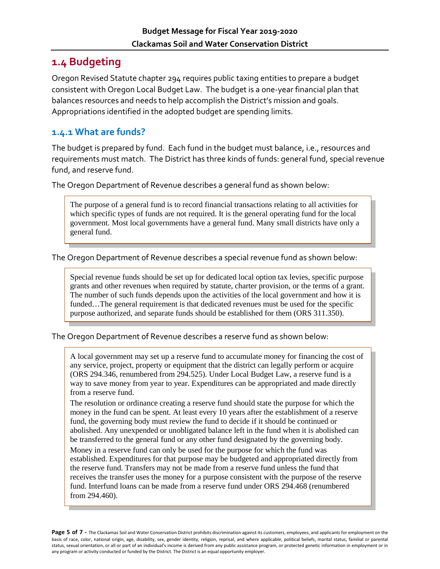# <span id="page-4-0"></span>**1.4 Budgeting**

Oregon Revised Statute chapter 294 requires public taxing entities to prepare a budget consistent with Oregon Local Budget Law. The budget is a one-year financial plan that balances resources and needs to help accomplish the District's mission and goals. Appropriations identified in the adopted budget are spending limits.

#### <span id="page-4-1"></span>**1.4.1 What are funds?**

The budget is prepared by fund. Each fund in the budget must balance, i.e., resources and requirements must match. The District has three kinds of funds: general fund, special revenue fund, and reserve fund.

The Oregon Department of Revenue describes a general fund as shown below:

The purpose of a general fund is to record financial transactions relating to all activities for which specific types of funds are not required. It is the general operating fund for the local government. Most local governments have a general fund. Many small districts have only a general fund.

The Oregon Department of Revenue describes a special revenue fund as shown below:

Special revenue funds should be set up for dedicated local option tax levies, specific purpose grants and other revenues when required by statute, charter provision, or the terms of a grant. The number of such funds depends upon the activities of the local government and how it is funded...The general requirement is that dedicated revenues must be used for the specific purpose authorized, and separate funds should be established for them (ORS 311.350).

The Oregon Department of Revenue describes a reserve fund as shown below:

A local government may set up a reserve fund to accumulate money for financing the cost of any service, project, property or equipment that the district can legally perform or acquire (ORS 294.346, renumbered from 294.525). Under Local Budget Law, a reserve fund is a way to save money from year to year. Expenditures can be appropriated and made directly from a reserve fund.

The resolution or ordinance creating a reserve fund should state the purpose for which the money in the fund can be spent. At least every 10 years after the establishment of a reserve fund, the governing body must review the fund to decide if it should be continued or abolished. Any unexpended or unobligated balance left in the fund when it is abolished can be transferred to the general fund or any other fund designated by the governing body.

Money in a reserve fund can only be used for the purpose for which the fund was established. Expenditures for that purpose may be budgeted and appropriated directly from the reserve fund. Transfers may not be made from a reserve fund unless the fund that receives the transfer uses the money for a purpose consistent with the purpose of the reserve fund. Interfund loans can be made from a reserve fund under ORS 294.468 (renumbered from 294.460).

Page 5 of 7 - The Clackamas Soil and Water Conservation District prohibits discrimination against its customers, employees, and applicants for employment on the basis of race, color, national origin, age, disability, sex, gender identity, religion, reprisal, and where applicable, political beliefs, marital status, familial or parental status, sexual orientation, or all or part of an individual's income is derived from any public assistance program, or protected genetic information in employment or in any program or activity conducted or funded by the District. The District is an equal opportunity employer.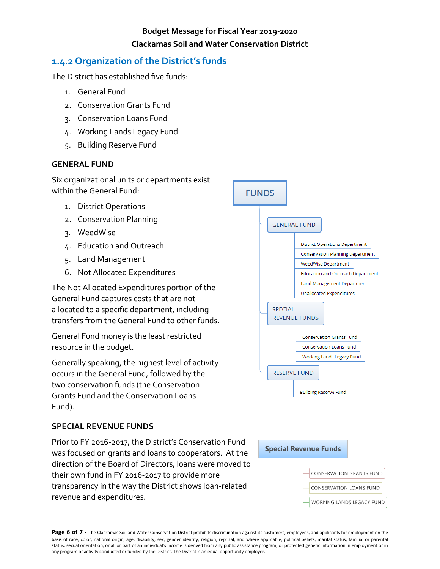#### <span id="page-5-0"></span>**1.4.2 Organization of the District's funds**

The District has established five funds:

- 1. General Fund
- 2. Conservation Grants Fund
- 3. Conservation Loans Fund
- 4. Working Lands Legacy Fund
- 5. Building Reserve Fund

#### **GENERAL FUND**

Six organizational units or departments exist within the General Fund:

- 1. District Operations
- 2. Conservation Planning
- 3. WeedWise
- 4. Education and Outreach
- 5. Land Management
- 6. Not Allocated Expenditures

The Not Allocated Expenditures portion of the General Fund captures costs that are not allocated to a specific department, including transfers from the General Fund to other funds.

General Fund money is the least restricted resource in the budget.

Generally speaking, the highest level of activity occurs in the General Fund, followed by the two conservation funds (the Conservation Grants Fund and the Conservation Loans Fund).

#### **SPECIAL REVENUE FUNDS**

Prior to FY 2016-2017, the District's Conservation Fund was focused on grants and loans to cooperators. At the direction of the Board of Directors, loans were moved to their own fund in FY 2016-2017 to provide more transparency in the way the District shows loan-related revenue and expenditures.





Page 6 of 7 - The Clackamas Soil and Water Conservation District prohibits discrimination against its customers, employees, and applicants for employment on the basis of race, color, national origin, age, disability, sex, gender identity, religion, reprisal, and where applicable, political beliefs, marital status, familial or parental status, sexual orientation, or all or part of an individual's income is derived from any public assistance program, or protected genetic information in employment or in any program or activity conducted or funded by the District. The District is an equal opportunity employer.